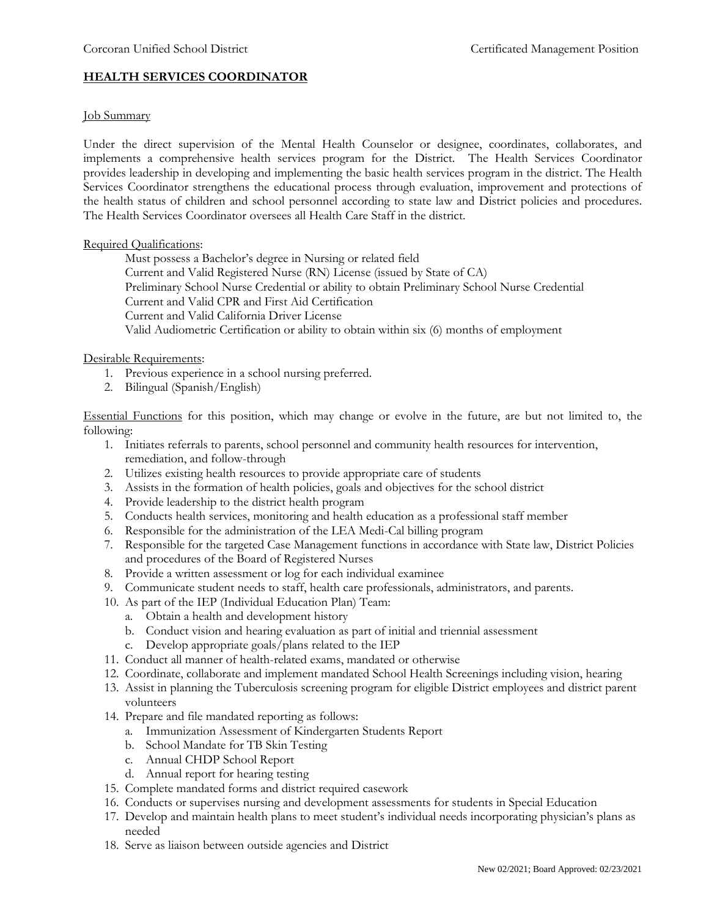# **HEALTH SERVICES COORDINATOR**

#### Job Summary

Under the direct supervision of the Mental Health Counselor or designee, coordinates, collaborates, and implements a comprehensive health services program for the District. The Health Services Coordinator provides leadership in developing and implementing the basic health services program in the district. The Health Services Coordinator strengthens the educational process through evaluation, improvement and protections of the health status of children and school personnel according to state law and District policies and procedures. The Health Services Coordinator oversees all Health Care Staff in the district.

### Required Qualifications:

Must possess a Bachelor's degree in Nursing or related field Current and Valid Registered Nurse (RN) License (issued by State of CA) Preliminary School Nurse Credential or ability to obtain Preliminary School Nurse Credential Current and Valid CPR and First Aid Certification Current and Valid California Driver License Valid Audiometric Certification or ability to obtain within six (6) months of employment

### Desirable Requirements:

- 1. Previous experience in a school nursing preferred.
- 2. Bilingual (Spanish/English)

Essential Functions for this position, which may change or evolve in the future, are but not limited to, the following:

- 1. Initiates referrals to parents, school personnel and community health resources for intervention, remediation, and follow-through
- 2. Utilizes existing health resources to provide appropriate care of students
- 3. Assists in the formation of health policies, goals and objectives for the school district
- 4. Provide leadership to the district health program
- 5. Conducts health services, monitoring and health education as a professional staff member
- 6. Responsible for the administration of the LEA Medi-Cal billing program
- 7. Responsible for the targeted Case Management functions in accordance with State law, District Policies and procedures of the Board of Registered Nurses
- 8. Provide a written assessment or log for each individual examinee
- 9. Communicate student needs to staff, health care professionals, administrators, and parents.
- 10. As part of the IEP (Individual Education Plan) Team:
	- a. Obtain a health and development history
	- b. Conduct vision and hearing evaluation as part of initial and triennial assessment
	- c. Develop appropriate goals/plans related to the IEP
- 11. Conduct all manner of health-related exams, mandated or otherwise
- 12. Coordinate, collaborate and implement mandated School Health Screenings including vision, hearing
- 13. Assist in planning the Tuberculosis screening program for eligible District employees and district parent volunteers
- 14. Prepare and file mandated reporting as follows:
	- a. Immunization Assessment of Kindergarten Students Report
	- b. School Mandate for TB Skin Testing
	- c. Annual CHDP School Report
	- d. Annual report for hearing testing
- 15. Complete mandated forms and district required casework
- 16. Conducts or supervises nursing and development assessments for students in Special Education
- 17. Develop and maintain health plans to meet student's individual needs incorporating physician's plans as needed
- 18. Serve as liaison between outside agencies and District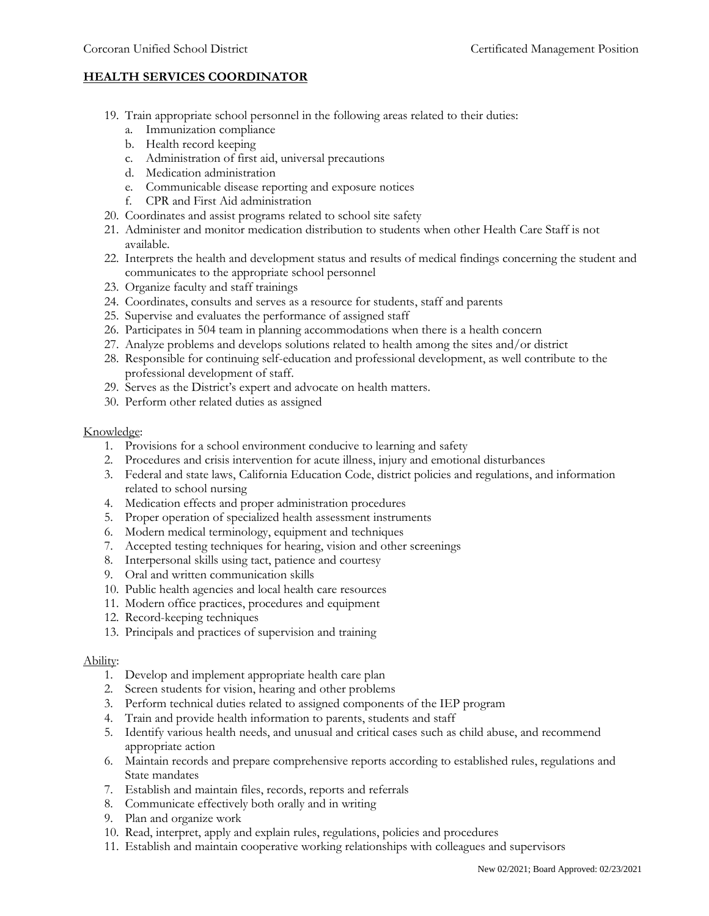# **HEALTH SERVICES COORDINATOR**

- 19. Train appropriate school personnel in the following areas related to their duties:
	- a. Immunization compliance
	- b. Health record keeping
	- c. Administration of first aid, universal precautions
	- d. Medication administration
	- e. Communicable disease reporting and exposure notices
	- f. CPR and First Aid administration
- 20. Coordinates and assist programs related to school site safety
- 21. Administer and monitor medication distribution to students when other Health Care Staff is not available.
- 22. Interprets the health and development status and results of medical findings concerning the student and communicates to the appropriate school personnel
- 23. Organize faculty and staff trainings
- 24. Coordinates, consults and serves as a resource for students, staff and parents
- 25. Supervise and evaluates the performance of assigned staff
- 26. Participates in 504 team in planning accommodations when there is a health concern
- 27. Analyze problems and develops solutions related to health among the sites and/or district
- 28. Responsible for continuing self-education and professional development, as well contribute to the professional development of staff.
- 29. Serves as the District's expert and advocate on health matters.
- 30. Perform other related duties as assigned

### Knowledge:

- 1. Provisions for a school environment conducive to learning and safety
- 2. Procedures and crisis intervention for acute illness, injury and emotional disturbances
- 3. Federal and state laws, California Education Code, district policies and regulations, and information related to school nursing
- 4. Medication effects and proper administration procedures
- 5. Proper operation of specialized health assessment instruments
- 6. Modern medical terminology, equipment and techniques
- 7. Accepted testing techniques for hearing, vision and other screenings
- 8. Interpersonal skills using tact, patience and courtesy
- 9. Oral and written communication skills
- 10. Public health agencies and local health care resources
- 11. Modern office practices, procedures and equipment
- 12. Record-keeping techniques
- 13. Principals and practices of supervision and training

### Ability:

- 1. Develop and implement appropriate health care plan
- 2. Screen students for vision, hearing and other problems
- 3. Perform technical duties related to assigned components of the IEP program
- 4. Train and provide health information to parents, students and staff
- 5. Identify various health needs, and unusual and critical cases such as child abuse, and recommend appropriate action
- 6. Maintain records and prepare comprehensive reports according to established rules, regulations and State mandates
- 7. Establish and maintain files, records, reports and referrals
- 8. Communicate effectively both orally and in writing
- 9. Plan and organize work
- 10. Read, interpret, apply and explain rules, regulations, policies and procedures
- 11. Establish and maintain cooperative working relationships with colleagues and supervisors